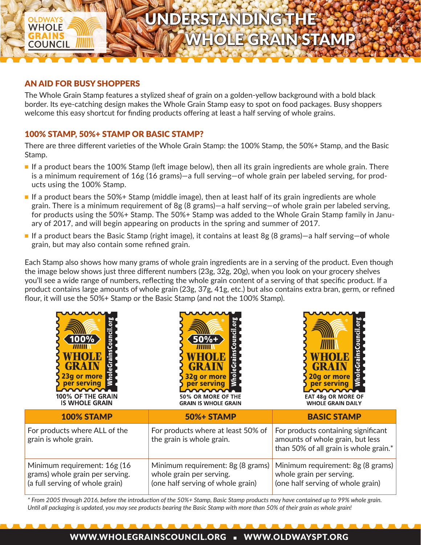# UNDERSTANDING THE

WHOLE GRAIN STAMP

### AN AID FOR BUSY SHOPPERS

**WHOLE** 

**COUNCIL** 

The Whole Grain Stamp features a stylized sheaf of grain on a golden-yellow background with a bold black border. Its eye-catching design makes the Whole Grain Stamp easy to spot on food packages. Busy shoppers welcome this easy shortcut for finding products offering at least a half serving of whole grains.

## 100% STAMP, 50%+ STAMP OR BASIC STAMP?

There are three different varieties of the Whole Grain Stamp: the 100% Stamp, the 50%+ Stamp, and the Basic Stamp.

- If a product bears the 100% Stamp (left image below), then all its grain ingredients are whole grain. There is a minimum requirement of 16g (16 grams)—a full serving—of whole grain per labeled serving, for products using the 100% Stamp.
- If a product bears the 50%+ Stamp (middle image), then at least half of its grain ingredients are whole grain. There is a minimum requirement of 8g (8 grams)—a half serving—of whole grain per labeled serving, for products using the 50%+ Stamp. The 50%+ Stamp was added to the Whole Grain Stamp family in January of 2017, and will begin appearing on products in the spring and summer of 2017.
- If a product bears the Basic Stamp (right image), it contains at least 8g (8 grams)—a half serving—of whole grain, but may also contain some refined grain.

Each Stamp also shows how many grams of whole grain ingredients are in a serving of the product. Even though the image below shows just three different numbers (23g, 32g, 20g), when you look on your grocery shelves you'll see a wide range of numbers, reflecting the whole grain content of a serving of that specific product. If a product contains large amounts of whole grain (23g, 37g, 41g, etc.) but also contains extra bran, germ, or refined flour, it will use the 50%+ Stamp or the Basic Stamp (and not the 100% Stamp).

| ō<br>Coun<br>100% $^{\circ}$<br>O<br>l S<br>23g or more<br>per serving<br>100% OF THE GRAIN<br><b>IS WHOLE GRAIN</b> | ਰ<br>Coun<br>50%+<br>Grains<br>32g or more<br>per serving<br>50% OR MORE OF THE<br><b>GRAIN IS WHOLE GRAIN</b> | <b>Council</b><br>Grains<br>WHOLE<br>ē<br>20g or more<br>per serving<br><b>EAT 48g OR MORE OF</b><br><b>WHOLE GRAIN DAILY</b> |
|----------------------------------------------------------------------------------------------------------------------|----------------------------------------------------------------------------------------------------------------|-------------------------------------------------------------------------------------------------------------------------------|
| 100% STAMP                                                                                                           | <b>50%+ STAMP</b>                                                                                              | <b>BASIC STAMP</b>                                                                                                            |
| For products where ALL of the<br>grain is whole grain.                                                               | For products where at least 50% of<br>the grain is whole grain.                                                | For products containing significant<br>amounts of whole grain, but less<br>than 50% of all grain is whole grain.*             |
| Minimum requirement: 16g (16<br>grams) whole grain per serving.<br>(a full serving of whole grain)                   | Minimum requirement: 8g (8 grams)<br>whole grain per serving.<br>(one half serving of whole grain)             | Minimum requirement: 8g (8 grams)<br>whole grain per serving.<br>(one half serving of whole grain)                            |

*\* From 2005 through 2016, before the introduction of the 50%+ Stamp, Basic Stamp products may have contained up to 99% whole grain. Until all packaging is updated, you may see products bearing the Basic Stamp with more than 50% of their grain as whole grain!*